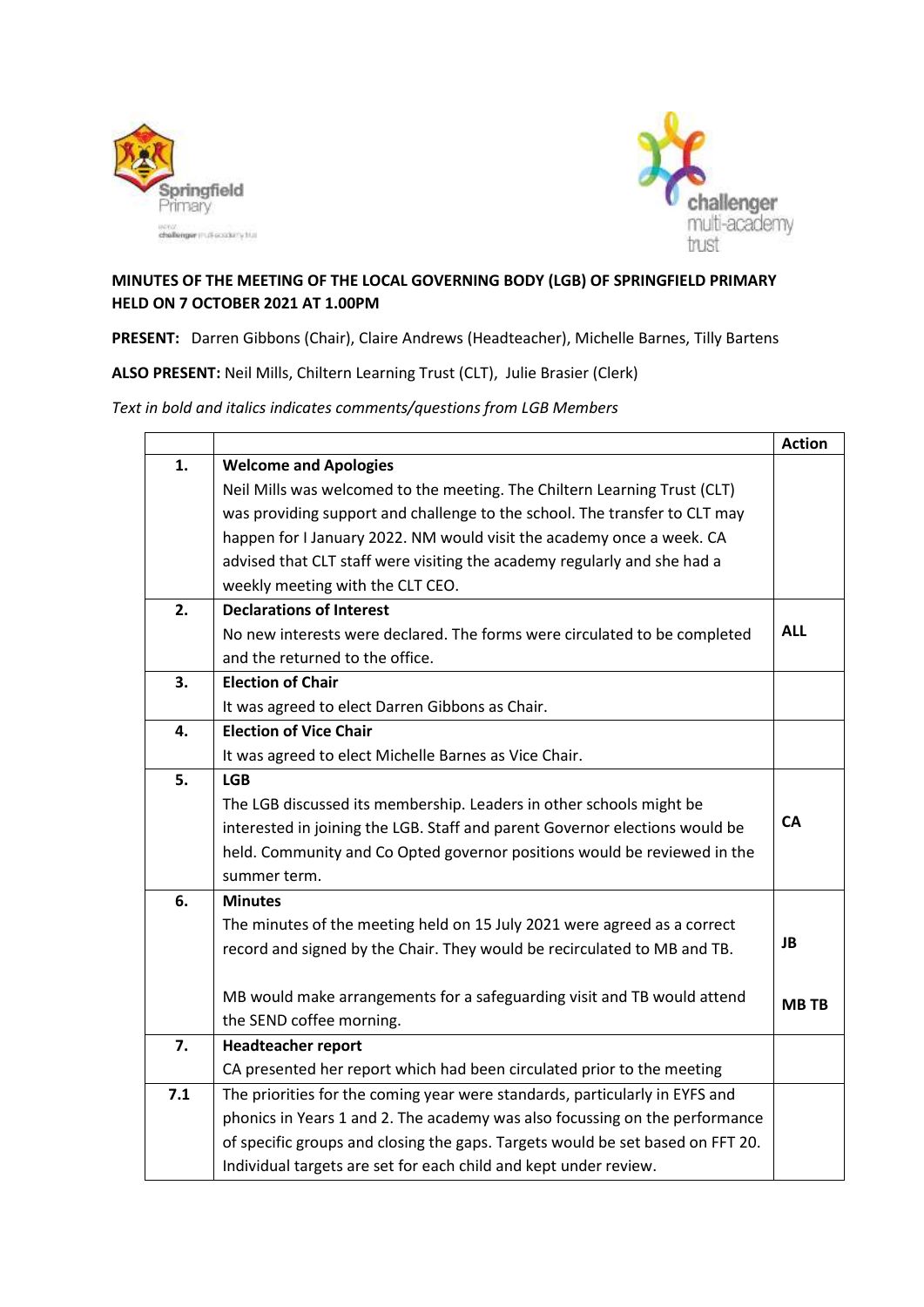



## **MINUTES OF THE MEETING OF THE LOCAL GOVERNING BODY (LGB) OF SPRINGFIELD PRIMARY HELD ON 7 OCTOBER 2021 AT 1.00PM**

**PRESENT:** Darren Gibbons (Chair), Claire Andrews (Headteacher), Michelle Barnes, Tilly Bartens

**ALSO PRESENT:** Neil Mills, Chiltern Learning Trust (CLT), Julie Brasier (Clerk)

*Text in bold and italics indicates comments/questions from LGB Members* 

|     |                                                                                | <b>Action</b> |
|-----|--------------------------------------------------------------------------------|---------------|
| 1.  | <b>Welcome and Apologies</b>                                                   |               |
|     | Neil Mills was welcomed to the meeting. The Chiltern Learning Trust (CLT)      |               |
|     | was providing support and challenge to the school. The transfer to CLT may     |               |
|     | happen for I January 2022. NM would visit the academy once a week. CA          |               |
|     | advised that CLT staff were visiting the academy regularly and she had a       |               |
|     | weekly meeting with the CLT CEO.                                               |               |
| 2.  | <b>Declarations of Interest</b>                                                |               |
|     | No new interests were declared. The forms were circulated to be completed      | <b>ALL</b>    |
|     | and the returned to the office.                                                |               |
| 3.  | <b>Election of Chair</b>                                                       |               |
|     | It was agreed to elect Darren Gibbons as Chair.                                |               |
| 4.  | <b>Election of Vice Chair</b>                                                  |               |
|     | It was agreed to elect Michelle Barnes as Vice Chair.                          |               |
| 5.  | <b>LGB</b>                                                                     |               |
|     | The LGB discussed its membership. Leaders in other schools might be            |               |
|     | interested in joining the LGB. Staff and parent Governor elections would be    | CA            |
|     | held. Community and Co Opted governor positions would be reviewed in the       |               |
|     | summer term.                                                                   |               |
| 6.  | <b>Minutes</b>                                                                 |               |
|     | The minutes of the meeting held on 15 July 2021 were agreed as a correct       |               |
|     | record and signed by the Chair. They would be recirculated to MB and TB.       | JB            |
|     |                                                                                |               |
|     | MB would make arrangements for a safeguarding visit and TB would attend        | <b>MB TB</b>  |
|     | the SEND coffee morning.                                                       |               |
| 7.  | <b>Headteacher report</b>                                                      |               |
|     | CA presented her report which had been circulated prior to the meeting         |               |
| 7.1 | The priorities for the coming year were standards, particularly in EYFS and    |               |
|     | phonics in Years 1 and 2. The academy was also focussing on the performance    |               |
|     | of specific groups and closing the gaps. Targets would be set based on FFT 20. |               |
|     | Individual targets are set for each child and kept under review.               |               |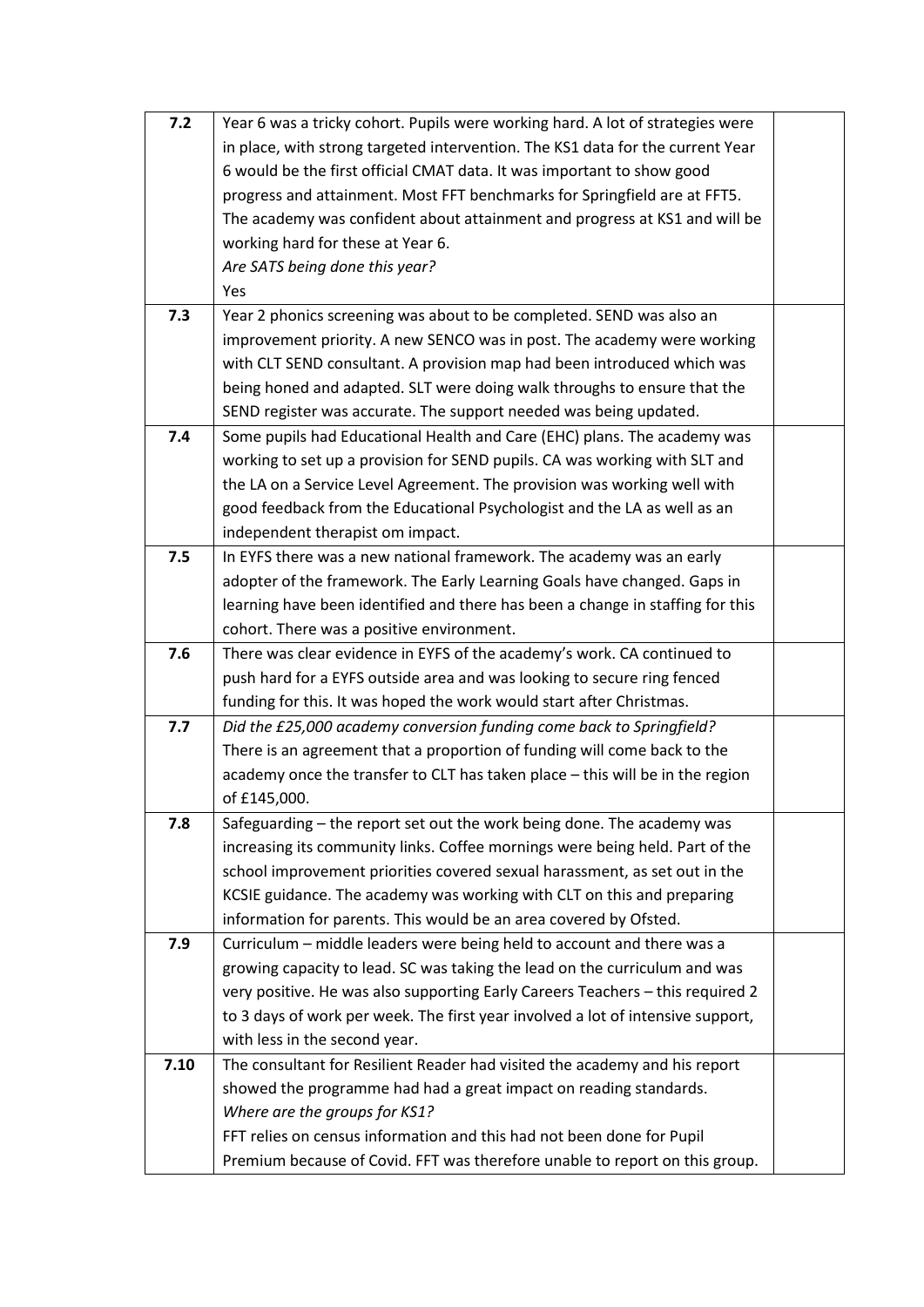| 7.2  | Year 6 was a tricky cohort. Pupils were working hard. A lot of strategies were  |  |
|------|---------------------------------------------------------------------------------|--|
|      | in place, with strong targeted intervention. The KS1 data for the current Year  |  |
|      | 6 would be the first official CMAT data. It was important to show good          |  |
|      | progress and attainment. Most FFT benchmarks for Springfield are at FFT5.       |  |
|      | The academy was confident about attainment and progress at KS1 and will be      |  |
|      | working hard for these at Year 6.                                               |  |
|      | Are SATS being done this year?                                                  |  |
|      | Yes                                                                             |  |
| 7.3  | Year 2 phonics screening was about to be completed. SEND was also an            |  |
|      | improvement priority. A new SENCO was in post. The academy were working         |  |
|      | with CLT SEND consultant. A provision map had been introduced which was         |  |
|      | being honed and adapted. SLT were doing walk throughs to ensure that the        |  |
|      | SEND register was accurate. The support needed was being updated.               |  |
| 7.4  | Some pupils had Educational Health and Care (EHC) plans. The academy was        |  |
|      | working to set up a provision for SEND pupils. CA was working with SLT and      |  |
|      | the LA on a Service Level Agreement. The provision was working well with        |  |
|      | good feedback from the Educational Psychologist and the LA as well as an        |  |
|      | independent therapist om impact.                                                |  |
| 7.5  | In EYFS there was a new national framework. The academy was an early            |  |
|      | adopter of the framework. The Early Learning Goals have changed. Gaps in        |  |
|      | learning have been identified and there has been a change in staffing for this  |  |
|      | cohort. There was a positive environment.                                       |  |
| 7.6  | There was clear evidence in EYFS of the academy's work. CA continued to         |  |
|      | push hard for a EYFS outside area and was looking to secure ring fenced         |  |
|      | funding for this. It was hoped the work would start after Christmas.            |  |
| 7.7  | Did the £25,000 academy conversion funding come back to Springfield?            |  |
|      | There is an agreement that a proportion of funding will come back to the        |  |
|      | academy once the transfer to CLT has taken place - this will be in the region   |  |
|      | of £145,000.                                                                    |  |
| 7.8  | Safeguarding - the report set out the work being done. The academy was          |  |
|      | increasing its community links. Coffee mornings were being held. Part of the    |  |
|      | school improvement priorities covered sexual harassment, as set out in the      |  |
|      | KCSIE guidance. The academy was working with CLT on this and preparing          |  |
|      | information for parents. This would be an area covered by Ofsted.               |  |
| 7.9  | Curriculum - middle leaders were being held to account and there was a          |  |
|      | growing capacity to lead. SC was taking the lead on the curriculum and was      |  |
|      | very positive. He was also supporting Early Careers Teachers - this required 2  |  |
|      | to 3 days of work per week. The first year involved a lot of intensive support, |  |
|      | with less in the second year.                                                   |  |
| 7.10 | The consultant for Resilient Reader had visited the academy and his report      |  |
|      | showed the programme had had a great impact on reading standards.               |  |
|      | Where are the groups for KS1?                                                   |  |
|      | FFT relies on census information and this had not been done for Pupil           |  |
|      | Premium because of Covid. FFT was therefore unable to report on this group.     |  |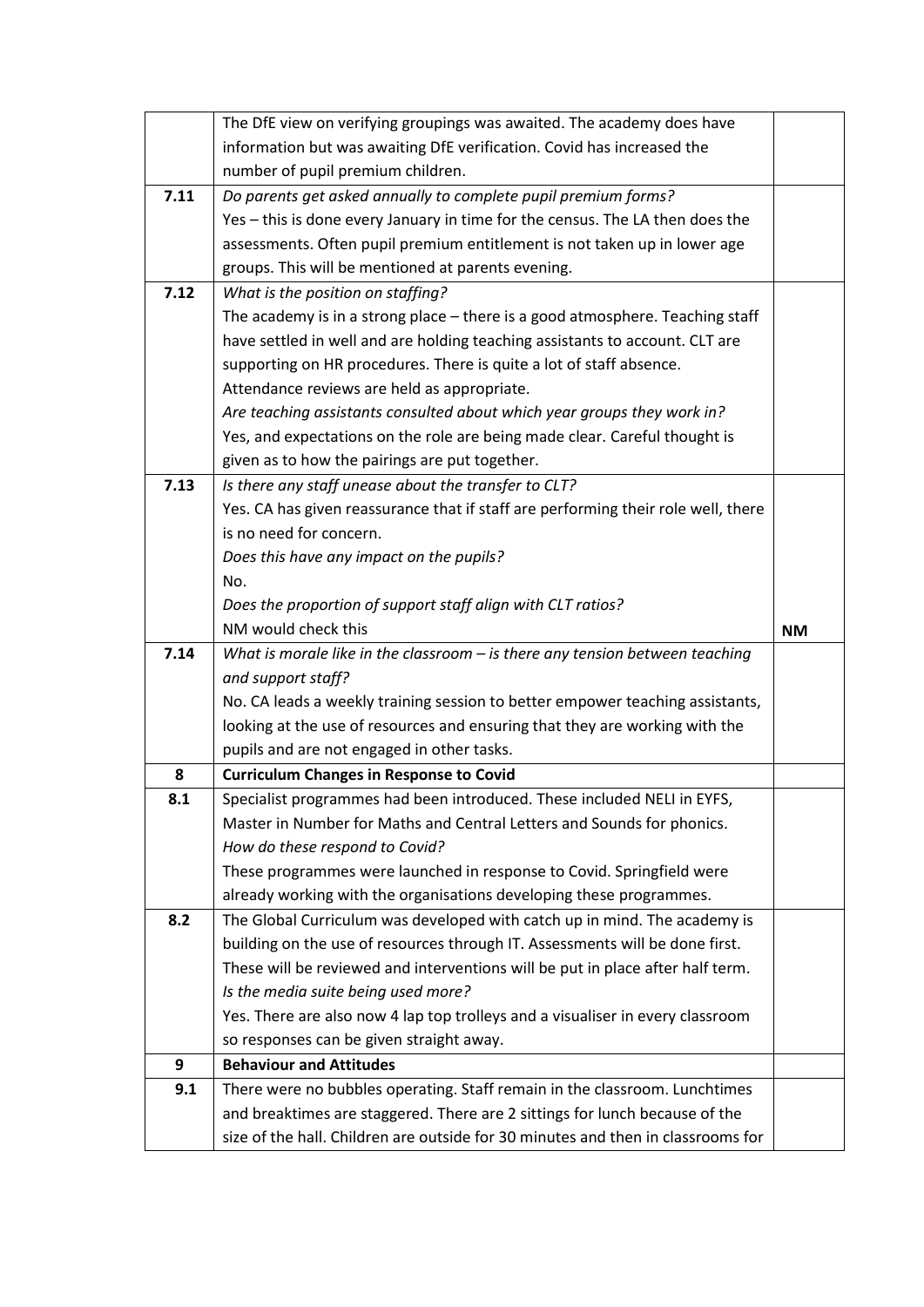|      | The DfE view on verifying groupings was awaited. The academy does have                                                                                          |           |
|------|-----------------------------------------------------------------------------------------------------------------------------------------------------------------|-----------|
|      | information but was awaiting DfE verification. Covid has increased the                                                                                          |           |
|      | number of pupil premium children.                                                                                                                               |           |
| 7.11 | Do parents get asked annually to complete pupil premium forms?                                                                                                  |           |
|      | Yes - this is done every January in time for the census. The LA then does the                                                                                   |           |
|      | assessments. Often pupil premium entitlement is not taken up in lower age                                                                                       |           |
|      | groups. This will be mentioned at parents evening.                                                                                                              |           |
| 7.12 | What is the position on staffing?                                                                                                                               |           |
|      | The academy is in a strong place $-$ there is a good atmosphere. Teaching staff                                                                                 |           |
|      | have settled in well and are holding teaching assistants to account. CLT are                                                                                    |           |
|      | supporting on HR procedures. There is quite a lot of staff absence.                                                                                             |           |
|      | Attendance reviews are held as appropriate.                                                                                                                     |           |
|      | Are teaching assistants consulted about which year groups they work in?                                                                                         |           |
|      | Yes, and expectations on the role are being made clear. Careful thought is                                                                                      |           |
|      | given as to how the pairings are put together.                                                                                                                  |           |
| 7.13 | Is there any staff unease about the transfer to CLT?                                                                                                            |           |
|      | Yes. CA has given reassurance that if staff are performing their role well, there                                                                               |           |
|      | is no need for concern.                                                                                                                                         |           |
|      | Does this have any impact on the pupils?                                                                                                                        |           |
|      | No.                                                                                                                                                             |           |
|      | Does the proportion of support staff align with CLT ratios?                                                                                                     |           |
|      | NM would check this                                                                                                                                             | <b>NM</b> |
| 7.14 | What is morale like in the classroom $-$ is there any tension between teaching                                                                                  |           |
|      | and support staff?                                                                                                                                              |           |
|      | No. CA leads a weekly training session to better empower teaching assistants,                                                                                   |           |
|      |                                                                                                                                                                 |           |
|      | looking at the use of resources and ensuring that they are working with the                                                                                     |           |
|      | pupils and are not engaged in other tasks.                                                                                                                      |           |
| 8    | <b>Curriculum Changes in Response to Covid</b>                                                                                                                  |           |
| 8.1  | Specialist programmes had been introduced. These included NELI in EYFS,                                                                                         |           |
|      | Master in Number for Maths and Central Letters and Sounds for phonics.                                                                                          |           |
|      | How do these respond to Covid?                                                                                                                                  |           |
|      | These programmes were launched in response to Covid. Springfield were                                                                                           |           |
|      | already working with the organisations developing these programmes.                                                                                             |           |
| 8.2  | The Global Curriculum was developed with catch up in mind. The academy is                                                                                       |           |
|      | building on the use of resources through IT. Assessments will be done first.                                                                                    |           |
|      | These will be reviewed and interventions will be put in place after half term.                                                                                  |           |
|      | Is the media suite being used more?                                                                                                                             |           |
|      | Yes. There are also now 4 lap top trolleys and a visualiser in every classroom                                                                                  |           |
|      | so responses can be given straight away.                                                                                                                        |           |
| 9    | <b>Behaviour and Attitudes</b>                                                                                                                                  |           |
| 9.1  | There were no bubbles operating. Staff remain in the classroom. Lunchtimes                                                                                      |           |
|      | and breaktimes are staggered. There are 2 sittings for lunch because of the<br>size of the hall. Children are outside for 30 minutes and then in classrooms for |           |